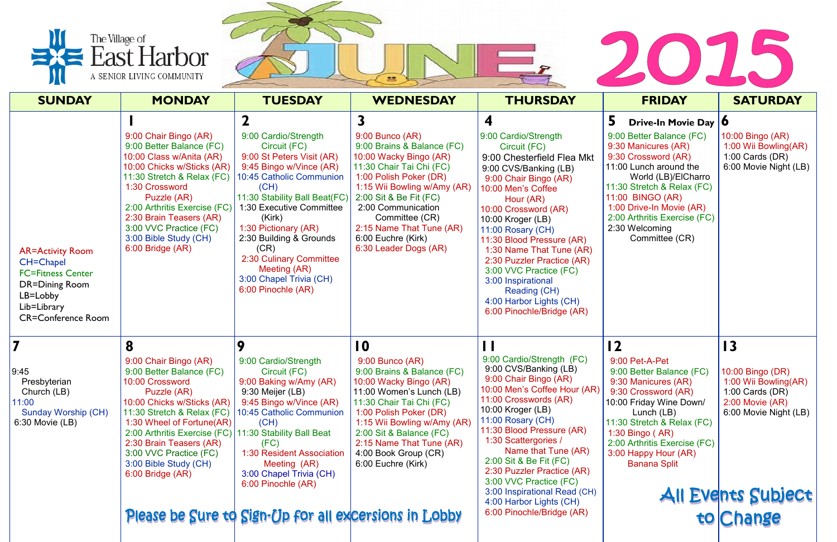



|                                                                                                                                                          | The Village of<br>East Harbor<br>A SENIOR LIVING COMMUNITY                                                                                                                                                                                                                                                          |                                                                                                                                                                                                                                                                                                                                                                | $\bullet$                                                                                                                                                                                                                                                                                                        |                                                                                                                                                                                                                                                                                                                                                                                                                                          |                                                                                                                                                                                                                                                                                                          |                                                                                                                                                                     |
|----------------------------------------------------------------------------------------------------------------------------------------------------------|---------------------------------------------------------------------------------------------------------------------------------------------------------------------------------------------------------------------------------------------------------------------------------------------------------------------|----------------------------------------------------------------------------------------------------------------------------------------------------------------------------------------------------------------------------------------------------------------------------------------------------------------------------------------------------------------|------------------------------------------------------------------------------------------------------------------------------------------------------------------------------------------------------------------------------------------------------------------------------------------------------------------|------------------------------------------------------------------------------------------------------------------------------------------------------------------------------------------------------------------------------------------------------------------------------------------------------------------------------------------------------------------------------------------------------------------------------------------|----------------------------------------------------------------------------------------------------------------------------------------------------------------------------------------------------------------------------------------------------------------------------------------------------------|---------------------------------------------------------------------------------------------------------------------------------------------------------------------|
| <b>SUNDAY</b>                                                                                                                                            | <b>MONDAY</b>                                                                                                                                                                                                                                                                                                       | <b>TUESDAY</b>                                                                                                                                                                                                                                                                                                                                                 | <b>WEDNESDAY</b>                                                                                                                                                                                                                                                                                                 | <b>THURSDAY</b>                                                                                                                                                                                                                                                                                                                                                                                                                          | <b>FRIDAY</b>                                                                                                                                                                                                                                                                                            | <b>SATURDAY</b>                                                                                                                                                     |
| <b>AR=Activity Room</b><br><b>CH=Chapel</b><br><b>FC=Fitness Center</b><br><b>DR=Dining Room</b><br>LB=Lobby<br>Lib=Library<br><b>CR=Conference Room</b> | 9:00 Chair Bingo (AR)<br>9:00 Better Balance (FC)<br>10:00 Class w/Anita (AR)<br>10:00 Chicks w/Sticks (AR)<br>11:30 Stretch & Relax (FC)<br>1:30 Crossword<br>Puzzle (AR)<br>2:00 Arthritis Exercise (FC)<br>2:30 Brain Teasers (AR)<br>3:00 VVC Practice (FC)<br>3:00 Bible Study (CH)<br>6:00 Bridge (AR)        | 9:00 Cardio/Strength<br>Circuit (FC)<br>9:00 St Peters Visit (AR)<br>9:45 Bingo w/Vince (AR)<br>10:45 Catholic Communion<br>(CH)<br>11:30 Stability Ball Beat(FC)<br>1:30 Executive Committee<br>(Kirk)<br>1:30 Pictionary (AR)<br>2:30 Building & Grounds<br>(CR)<br>2:30 Culinary Committee<br>Meeting (AR)<br>3:00 Chapel Trivia (CH)<br>6:00 Pinochle (AR) | 3<br>$9:00$ Bunco (AR)<br>9:00 Brains & Balance (FC)<br>10:00 Wacky Bingo (AR)<br>11:30 Chair Tai Chi (FC)<br>1:00 Polish Poker (DR)<br>1:15 Wii Bowling w/Amy (AR)<br>2:00 Sit & Be Fit (FC)<br>2:00 Communication<br>Committee (CR)<br>2:15 Name That Tune (AR)<br>6:00 Euchre (Kirk)<br>6:30 Leader Dogs (AR) | 9:00 Cardio/Strength<br>Circuit (FC)<br>9:00 Chesterfield Flea Mkt<br>9:00 CVS/Banking (LB)<br>9:00 Chair Bingo (AR)<br>10:00 Men's Coffee<br>Hour (AR)<br>10:00 Crossword (AR)<br>10:00 Kroger (LB)<br>11:00 Rosary (CH)<br>11:30 Blood Pressure (AR)<br>1:30 Name That Tune (AR)<br>2:30 Puzzler Practice (AR)<br>3:00 VVC Practice (FC)<br>3:00 Inspirational<br>Reading (CH)<br>4:00 Harbor Lights (CH)<br>6:00 Pinochle/Bridge (AR) | 5<br>Drive-In Movie Day   0<br>9:00 Better Balance (FC)<br>9:30 Manicures (AR)<br>9:30 Crossword (AR)<br>11:00 Lunch around the<br>World (LB)/ElCharro<br>11:30 Stretch & Relax (FC)<br>11:00 BINGO (AR)<br>1:00 Drive-In Movie (AR)<br>2:00 Arthritis Exercise (FC)<br>2:30 Welcoming<br>Committee (CR) | 10:00 Bingo (AR)<br>1:00 Wii Bowling(AR)<br>1:00 Cards $(DR)$<br>6:00 Movie Night (LB)                                                                              |
| 9:45<br>Presbyterian<br>Church (LB)<br>11:00<br>Sunday Worship (CH)<br>6:30 Movie (LB)                                                                   | 8<br>9:00 Chair Bingo (AR)<br>9:00 Better Balance (FC)<br>10:00 Crossword<br>Puzzle (AR)<br>10:00 Chicks w/Sticks (AR)<br>11:30 Stretch & Relax (FC)<br>1:30 Wheel of Fortune(AR)<br>2:00 Arthritis Exercise (FC)<br>2:30 Brain Teasers (AR)<br>3:00 VVC Practice (FC)<br>3:00 Bible Study (CH)<br>6:00 Bridge (AR) | 9<br>9:00 Cardio/Strength<br>Circuit (FC)<br>9:00 Baking w/Amy (AR)<br>9:30 Meijer (LB)<br>9:45 Bingo w/Vince (AR)<br>10:45 Catholic Communion<br>(CH)<br>11:30 Stability Ball Beat<br>(FC)<br>1:30 Resident Association<br>Meeting (AR)<br>3:00 Chapel Trivia (CH)<br>6:00 Pinochle (AR)<br>Please be Sure to Sign-Up for all excersions in Lobby             | 10<br>$9:00$ Bunco (AR)<br>9:00 Brains & Balance (FC)<br>10:00 Wacky Bingo (AR)<br>11:00 Women's Lunch (LB)<br>11:30 Chair Tai Chi (FC)<br>1:00 Polish Poker (DR)<br>1:15 Wii Bowling w/Amy (AR)<br>2:00 Sit & Balance (FC)<br>2:15 Name That Tune (AR)<br>4:00 Book Group (CR)<br>6:00 Euchre (Kirk)            | 9:00 Cardio/Strength (FC)<br>9:00 CVS/Banking (LB)<br>9:00 Chair Bingo (AR)<br>10:00 Men's Coffee Hour (AR)<br>11:00 Crosswords (AR)<br>10:00 Kroger (LB)<br>11:00 Rosary (CH)<br>11:30 Blood Pressure (AR)<br>1:30 Scattergories /<br>Name that Tune (AR)<br>2:00 Sit & Be Fit (FC)<br>2:30 Puzzler Practice (AR)<br>3:00 VVC Practice (FC)<br>3:00 Inspirational Read (CH)<br>4:00 Harbor Lights (CH)<br>6:00 Pinochle/Bridge (AR)     | $\overline{12}$<br>9:00 Pet-A-Pet<br>9:00 Better Balance (FC)<br>9:30 Manicures (AR)<br>9:30 Crossword (AR)<br>10:00 Friday Wine Down/<br>Lunch (LB)<br>11:30 Stretch & Relax (FC)<br>1:30 Bingo (AR)<br>2:00 Arthritis Exercise (FC)<br>3:00 Happy Hour (AR)<br><b>Banana Split</b>                     | $\overline{13}$<br>10:00 Bingo (DR)<br>1:00 Wii Bowling(AR)<br>1:00 Cards $(DR)$<br>$2:00$ Movie $(AR)$<br>6:00 Movie Night (LB)<br>All Events Subject<br>to Change |